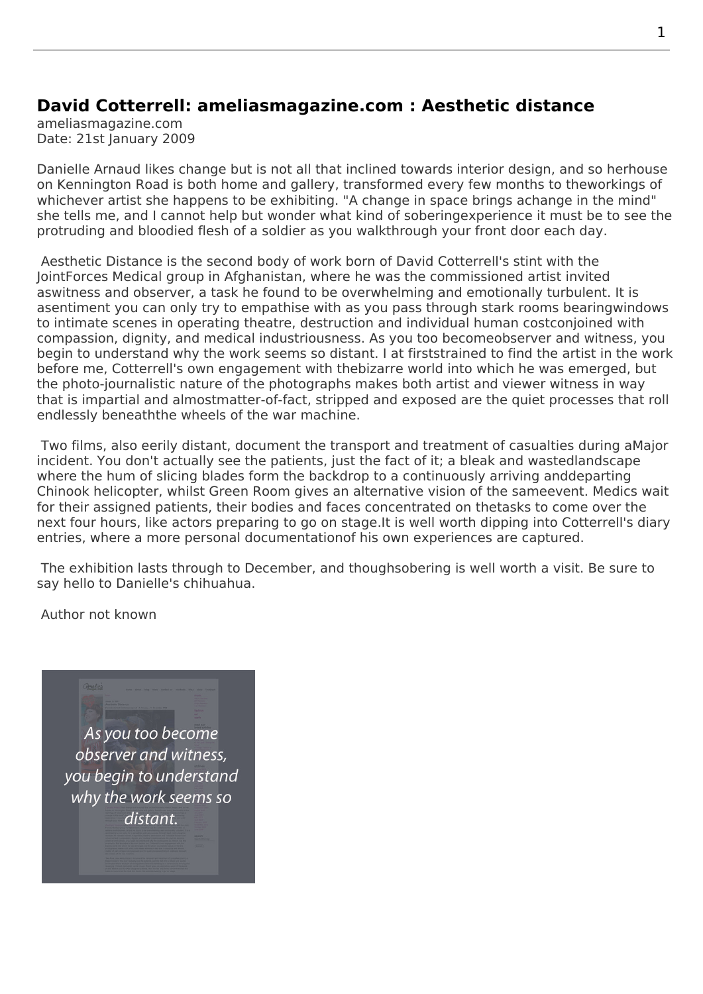## **David Cotterrell: ameliasmagazine.com : Aesthetic distance**

ameliasmagazine.com Date: 21st January 2009

Danielle Arnaud likes change but is not all that inclined towards interior design, and so herhouse on Kennington Road is both home and gallery, transformed every few months to theworkings of whichever artist she happens to be exhibiting. "A change in space brings achange in the mind" she tells me, and I cannot help but wonder what kind of soberingexperience it must be to see the protruding and bloodied flesh of a soldier as you walkthrough your front door each day.

Aesthetic Distance is the second body of work born of David Cotterrell's stint with the JointForces Medical group in Afghanistan, where he was the commissioned artist invited aswitness and observer, a task he found to be overwhelming and emotionally turbulent. It is asentiment you can only try to empathise with as you pass through stark rooms bearingwindows [to intimate scenes i](http://www.cotterrell.com/exhibitions/4213/aesthetic-distance/)n operating theatre, destruction and individual human costconjoined with compassion, dignity, and medical industriousness. As you too becomeobserver and witness, you begin to understand why the work seems so distant. I at firststrained to find the artist in the work before me, Cotterrell's own engagement with thebizarre world into which he was emerged, but the photo-journalistic nature of the photographs makes both artist and viewer witness in way that is impartial and almostmatter-of-fact, stripped and exposed are the quiet processes that roll endlessly beneaththe wheels of the war machine.

 Two films, also eerily distant, document the transport and treatment of casualties during aMajor incident. You don't actually see the patients, just the fact of it; a bleak and wastedlandscape where the hum of slicing blades form the backdrop to a continuously arriving anddeparting Chinook helicopter, whilst Green Room gives an alternative vision of the sameevent. Medics wait for their assigned patients, their bodies and faces concentrated on thetasks to come over the next four hours, like actors preparing to go on stage.It is well worth dipping into Cotterrell's diary entries, where a more personal documentationof his own experience[s are captured.](http://www.cotterrell.com/projects/4224/serial-loop/)

 The exhibition lasts through to December, and thoughsobering is well worth a visit. Be sure to say hello to Danielle's chihuahua.

Author not known

As you too become observer and witness, you begin to understand why the work seems so distant.